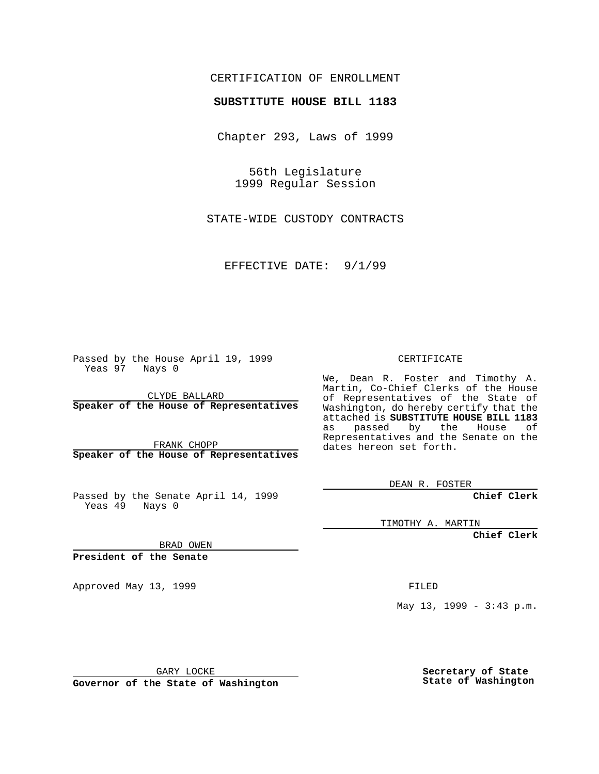#### CERTIFICATION OF ENROLLMENT

# **SUBSTITUTE HOUSE BILL 1183**

Chapter 293, Laws of 1999

56th Legislature 1999 Regular Session

STATE-WIDE CUSTODY CONTRACTS

EFFECTIVE DATE: 9/1/99

Passed by the House April 19, 1999 Yeas 97 Nays 0

CLYDE BALLARD **Speaker of the House of Representatives**

FRANK CHOPP **Speaker of the House of Representatives**

Passed by the Senate April 14, 1999 Yeas 49 Nays 0

CERTIFICATE

We, Dean R. Foster and Timothy A. Martin, Co-Chief Clerks of the House of Representatives of the State of Washington, do hereby certify that the attached is **SUBSTITUTE HOUSE BILL 1183** as passed by the House of Representatives and the Senate on the dates hereon set forth.

DEAN R. FOSTER

**Chief Clerk**

TIMOTHY A. MARTIN

**Chief Clerk**

BRAD OWEN

**President of the Senate**

Approved May 13, 1999 **FILED** 

May 13, 1999 - 3:43 p.m.

GARY LOCKE

**Governor of the State of Washington**

**Secretary of State State of Washington**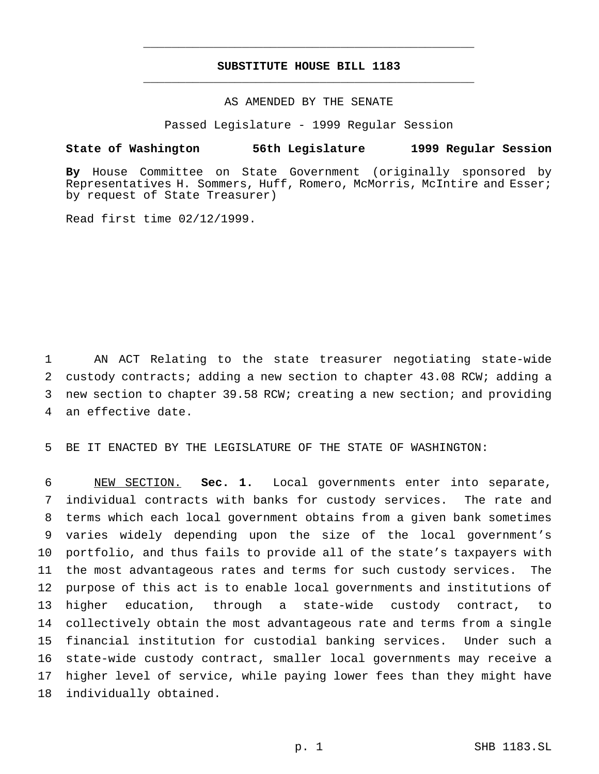## **SUBSTITUTE HOUSE BILL 1183** \_\_\_\_\_\_\_\_\_\_\_\_\_\_\_\_\_\_\_\_\_\_\_\_\_\_\_\_\_\_\_\_\_\_\_\_\_\_\_\_\_\_\_\_\_\_\_

\_\_\_\_\_\_\_\_\_\_\_\_\_\_\_\_\_\_\_\_\_\_\_\_\_\_\_\_\_\_\_\_\_\_\_\_\_\_\_\_\_\_\_\_\_\_\_

## AS AMENDED BY THE SENATE

Passed Legislature - 1999 Regular Session

#### **State of Washington 56th Legislature 1999 Regular Session**

**By** House Committee on State Government (originally sponsored by Representatives H. Sommers, Huff, Romero, McMorris, McIntire and Esser; by request of State Treasurer)

Read first time 02/12/1999.

 AN ACT Relating to the state treasurer negotiating state-wide custody contracts; adding a new section to chapter 43.08 RCW; adding a new section to chapter 39.58 RCW; creating a new section; and providing an effective date.

BE IT ENACTED BY THE LEGISLATURE OF THE STATE OF WASHINGTON:

 NEW SECTION. **Sec. 1.** Local governments enter into separate, individual contracts with banks for custody services. The rate and terms which each local government obtains from a given bank sometimes varies widely depending upon the size of the local government's portfolio, and thus fails to provide all of the state's taxpayers with the most advantageous rates and terms for such custody services. The purpose of this act is to enable local governments and institutions of higher education, through a state-wide custody contract, to collectively obtain the most advantageous rate and terms from a single financial institution for custodial banking services. Under such a state-wide custody contract, smaller local governments may receive a higher level of service, while paying lower fees than they might have individually obtained.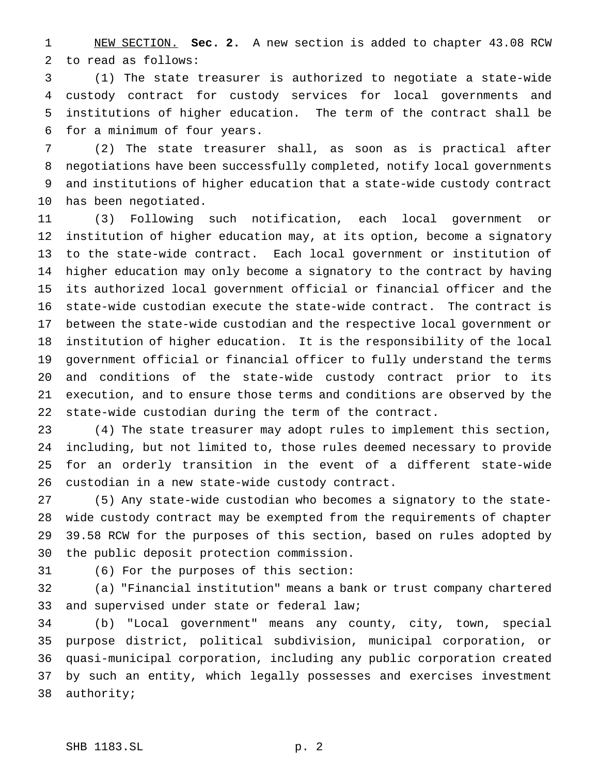NEW SECTION. **Sec. 2.** A new section is added to chapter 43.08 RCW to read as follows:

 (1) The state treasurer is authorized to negotiate a state-wide custody contract for custody services for local governments and institutions of higher education. The term of the contract shall be for a minimum of four years.

 (2) The state treasurer shall, as soon as is practical after negotiations have been successfully completed, notify local governments and institutions of higher education that a state-wide custody contract has been negotiated.

 (3) Following such notification, each local government or institution of higher education may, at its option, become a signatory to the state-wide contract. Each local government or institution of higher education may only become a signatory to the contract by having its authorized local government official or financial officer and the state-wide custodian execute the state-wide contract. The contract is between the state-wide custodian and the respective local government or institution of higher education. It is the responsibility of the local government official or financial officer to fully understand the terms and conditions of the state-wide custody contract prior to its execution, and to ensure those terms and conditions are observed by the state-wide custodian during the term of the contract.

 (4) The state treasurer may adopt rules to implement this section, including, but not limited to, those rules deemed necessary to provide for an orderly transition in the event of a different state-wide custodian in a new state-wide custody contract.

 (5) Any state-wide custodian who becomes a signatory to the state- wide custody contract may be exempted from the requirements of chapter 39.58 RCW for the purposes of this section, based on rules adopted by the public deposit protection commission.

(6) For the purposes of this section:

 (a) "Financial institution" means a bank or trust company chartered and supervised under state or federal law;

 (b) "Local government" means any county, city, town, special purpose district, political subdivision, municipal corporation, or quasi-municipal corporation, including any public corporation created by such an entity, which legally possesses and exercises investment authority;